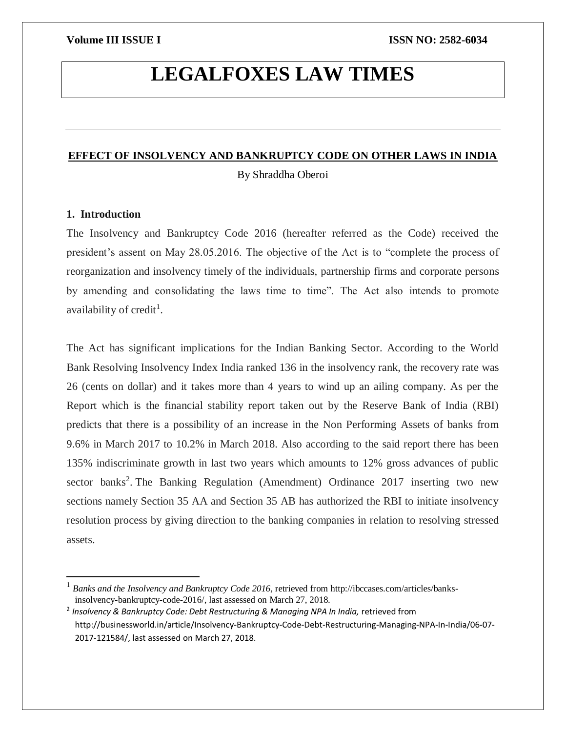# **LEGALFOXES LAW TIMES**

### **EFFECT OF INSOLVENCY AND BANKRUPTCY CODE ON OTHER LAWS IN INDIA**

By Shraddha Oberoi

### **1. Introduction**

 $\overline{a}$ 

The Insolvency and Bankruptcy Code 2016 (hereafter referred as the Code) received the president's assent on May 28.05.2016. The objective of the Act is to "complete the process of reorganization and insolvency timely of the individuals, partnership firms and corporate persons by amending and consolidating the laws time to time". The Act also intends to promote availability of credit<sup>1</sup>.

The Act has significant implications for the Indian Banking Sector. According to the World Bank Resolving Insolvency Index India ranked 136 in the insolvency rank, the recovery rate was 26 (cents on dollar) and it takes more than 4 years to wind up an ailing company. As per the Report which is the financial stability report taken out by the Reserve Bank of India (RBI) predicts that there is a possibility of an increase in the Non Performing Assets of banks from 9.6% in March 2017 to 10.2% in March 2018. Also according to the said report there has been 135% indiscriminate growth in last two years which amounts to 12% gross advances of public sector banks<sup>2</sup>. The Banking Regulation (Amendment) Ordinance 2017 inserting two new sections namely Section 35 AA and Section 35 AB has authorized the RBI to initiate insolvency resolution process by giving direction to the banking companies in relation to resolving stressed assets.

<sup>&</sup>lt;sup>1</sup> Banks and the Insolvency and Bankruptcy Code 2016, retrieved from http://ibccases.com/articles/banksinsolvency-bankruptcy-code-2016/, last assessed on March 27, 2018.

<sup>&</sup>lt;sup>2</sup> Insolvency & Bankruptcy Code: Debt Restructuring & Managing NPA In India, retrieved from http://businessworld.in/article/Insolvency-Bankruptcy-Code-Debt-Restructuring-Managing-NPA-In-India/06-07- 2017-121584/, last assessed on March 27, 2018.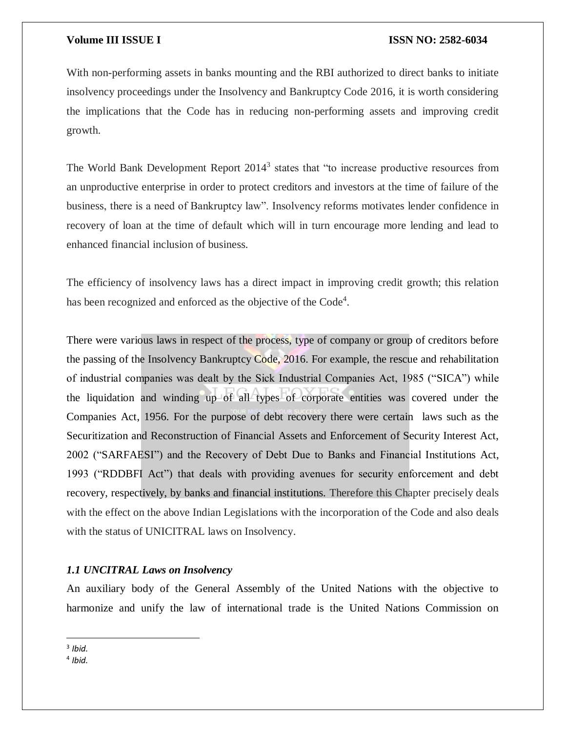With non-performing assets in banks mounting and the RBI authorized to direct banks to initiate insolvency proceedings under the Insolvency and Bankruptcy Code 2016, it is worth considering the implications that the Code has in reducing non-performing assets and improving credit growth.

The World Bank Development Report 2014<sup>3</sup> states that "to increase productive resources from an unproductive enterprise in order to protect creditors and investors at the time of failure of the business, there is a need of Bankruptcy law". Insolvency reforms motivates lender confidence in recovery of loan at the time of default which will in turn encourage more lending and lead to enhanced financial inclusion of business.

The efficiency of insolvency laws has a direct impact in improving credit growth; this relation has been recognized and enforced as the objective of the  $Code<sup>4</sup>$ .

There were various laws in respect of the process, type of company or group of creditors before the passing of the Insolvency Bankruptcy Code, 2016. For example, the rescue and rehabilitation of industrial companies was dealt by the Sick Industrial Companies Act, 1985 ("SICA") while the liquidation and winding up of all types of corporate entities was covered under the Companies Act, 1956. For the purpose of debt recovery there were certain laws such as the Securitization and Reconstruction of Financial Assets and Enforcement of Security Interest Act, 2002 ("SARFAESI") and the Recovery of Debt Due to Banks and Financial Institutions Act, 1993 ("RDDBFI Act") that deals with providing avenues for security enforcement and debt recovery, respectively, by banks and financial institutions. Therefore this Chapter precisely deals with the effect on the above Indian Legislations with the incorporation of the Code and also deals with the status of UNICITRAL laws on Insolvency.

### *1.1 UNCITRAL Laws on Insolvency*

An auxiliary body of the General Assembly of the United Nations with the objective to harmonize and unify the law of international trade is the United Nations Commission on

 $\overline{\phantom{a}}$ 3 *Ibid.*

<sup>4</sup> *Ibid.*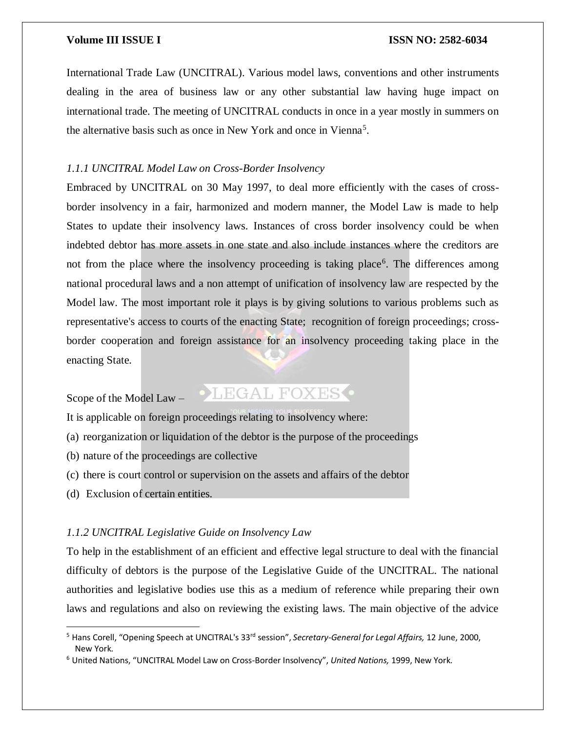International Trade Law (UNCITRAL). Various model laws, conventions and other instruments dealing in the area of business law or any other substantial law having huge impact on international trade. The meeting of UNCITRAL conducts in once in a year mostly in summers on the alternative basis such as once in New York and once in Vienna<sup>5</sup>.

#### *1.1.1 UNCITRAL Model Law on Cross-Border Insolvency*

Embraced by UNCITRAL on 30 May 1997, to deal more efficiently with the cases of crossborder insolvency in a fair, harmonized and modern manner, the Model Law is made to help States to update their insolvency laws. Instances of cross border insolvency could be when indebted debtor has more assets in one state and also include instances where the creditors are not from the place where the insolvency proceeding is taking place<sup>6</sup>. The differences among national procedural laws and a non attempt of unification of insolvency law are respected by the Model law. The most important role it plays is by giving solutions to various problems such as representative's access to courts of the enacting State; recognition of foreign proceedings; crossborder cooperation and foreign assistance for an insolvency proceeding taking place in the enacting State.

### Scope of the Model Law –

## **•LEGAL FOXES**

It is applicable on foreign proceedings relating to insolvency where:

- (a) reorganization or liquidation of the debtor is the purpose of the proceedings
- (b) nature of the proceedings are collective
- (c) there is court control or supervision on the assets and affairs of the debtor
- (d) Exclusion of certain entities.

 $\overline{a}$ 

### *1.1.2 UNCITRAL Legislative Guide on Insolvency Law*

To help in the establishment of an efficient and effective legal structure to deal with the financial difficulty of debtors is the purpose of the Legislative Guide of the UNCITRAL. The national authorities and legislative bodies use this as a medium of reference while preparing their own laws and regulations and also on reviewing the existing laws. The main objective of the advice

<sup>5</sup> Hans Corell, "Opening Speech at UNCITRAL's 33rd session", *Secretary-General for Legal Affairs,* 12 June, 2000, New York.

<sup>6</sup> United Nations, "UNCITRAL Model Law on Cross-Border Insolvency", *United Nations,* 1999, New York.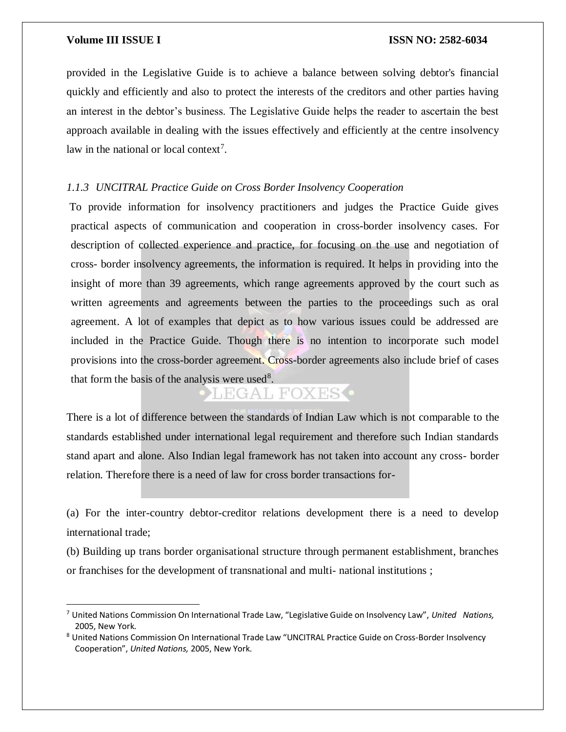$\overline{\phantom{a}}$ 

provided in the Legislative Guide is to achieve a balance between solving debtor's financial quickly and efficiently and also to protect the interests of the creditors and other parties having an interest in the debtor's business. The Legislative Guide helps the reader to ascertain the best approach available in dealing with the issues effectively and efficiently at the centre insolvency law in the national or local context<sup>7</sup>.

### *1.1.3 UNCITRAL Practice Guide on Cross Border Insolvency Cooperation*

To provide information for insolvency practitioners and judges the Practice Guide gives practical aspects of communication and cooperation in cross-border insolvency cases. For description of collected experience and practice, for focusing on the use and negotiation of cross- border insolvency agreements, the information is required. It helps in providing into the insight of more than 39 agreements, which range agreements approved by the court such as written agreements and agreements between the parties to the proceedings such as oral agreement. A lot of examples that depict as to how various issues could be addressed are included in the Practice Guide. Though there is no intention to incorporate such model provisions into the cross-border agreement. Cross-border agreements also include brief of cases that form the basis of the analysis were used<sup>8</sup>.

## LEGAL FOXES<sup>.</sup>

There is a lot of difference between the standards of Indian Law which is not comparable to the standards established under international legal requirement and therefore such Indian standards stand apart and alone. Also Indian legal framework has not taken into account any cross- border relation. Therefore there is a need of law for cross border transactions for-

(a) For the inter-country debtor-creditor relations development there is a need to develop international trade;

(b) Building up trans border organisational structure through permanent establishment, branches or franchises for the development of transnational and multi- national institutions ;

<sup>7</sup> United Nations Commission On International Trade Law, "Legislative Guide on Insolvency Law", *United Nations,*  2005, New York.

<sup>8</sup> United Nations Commission On International Trade Law "UNCITRAL Practice Guide on Cross-Border Insolvency Cooperation", *United Nations,* 2005, New York.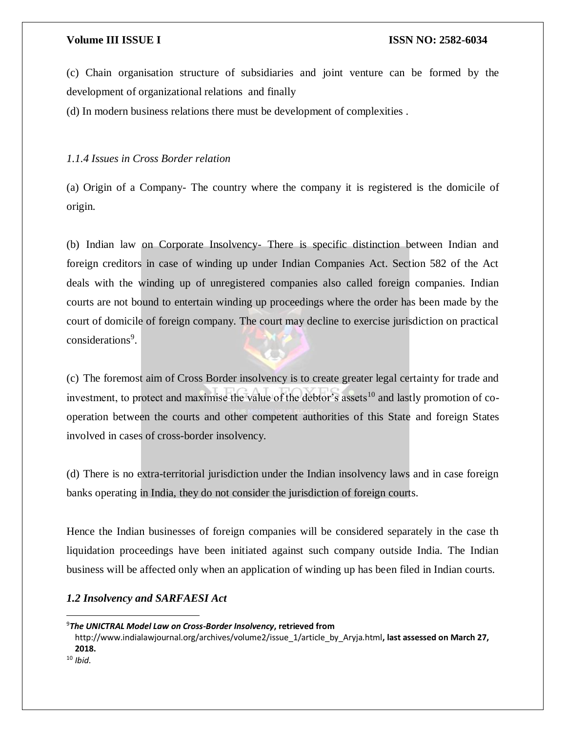(c) Chain organisation structure of subsidiaries and joint venture can be formed by the development of organizational relations and finally

(d) In modern business relations there must be development of complexities .

### *1.1.4 Issues in Cross Border relation*

(a) Origin of a Company- The country where the company it is registered is the domicile of origin.

(b) Indian law on Corporate Insolvency- There is specific distinction between Indian and foreign creditors in case of winding up under Indian Companies Act. Section 582 of the Act deals with the winding up of unregistered companies also called foreign companies. Indian courts are not bound to entertain winding up proceedings where the order has been made by the court of domicile of foreign company. The court may decline to exercise jurisdiction on practical considerations<sup>9</sup>.

(c) The foremost aim of Cross Border insolvency is to create greater legal certainty for trade and investment, to protect and maximise the value of the debtor's assets<sup>10</sup> and lastly promotion of cooperation between the courts and other competent authorities of this State and foreign States involved in cases of cross-border insolvency.

(d) There is no extra-territorial jurisdiction under the Indian insolvency laws and in case foreign banks operating in India, they do not consider the jurisdiction of foreign courts.

Hence the Indian businesses of foreign companies will be considered separately in the case th liquidation proceedings have been initiated against such company outside India. The Indian business will be affected only when an application of winding up has been filed in Indian courts.

### *1.2 Insolvency and SARFAESI Act*

 $\overline{a}$ 

<sup>9</sup>*The UNICTRAL Model Law on Cross-Border Insolvency***, retrieved from** 

http://www.indialawjournal.org/archives/volume2/issue\_1/article\_by\_Aryja.html**, last assessed on March 27, 2018.**

<sup>10</sup> *Ibid.*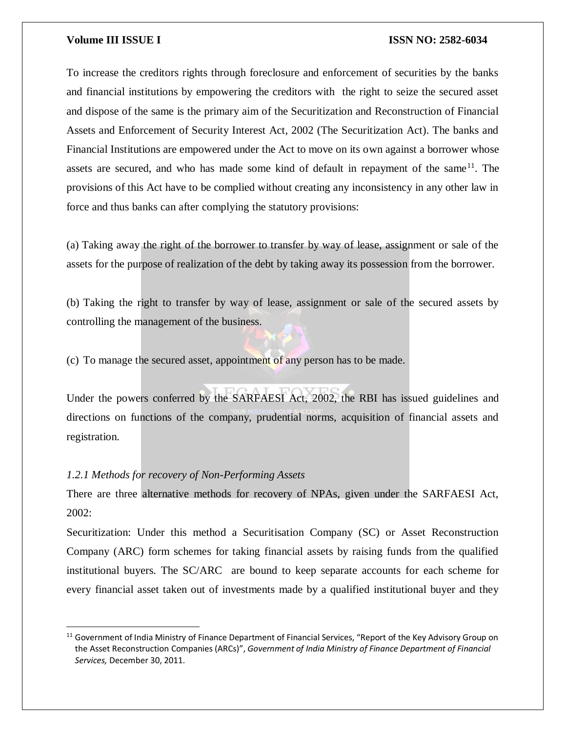To increase the creditors rights through foreclosure and enforcement of securities by the banks and financial institutions by empowering the creditors with the right to seize the secured asset and dispose of the same is the primary aim of the Securitization and Reconstruction of Financial Assets and Enforcement of Security Interest Act, 2002 (The Securitization Act). The banks and Financial Institutions are empowered under the Act to move on its own against a borrower whose assets are secured, and who has made some kind of default in repayment of the same  $11$ . The provisions of this Act have to be complied without creating any inconsistency in any other law in force and thus banks can after complying the statutory provisions:

(a) Taking away the right of the borrower to transfer by way of lease, assignment or sale of the assets for the purpose of realization of the debt by taking away its possession from the borrower.

(b) Taking the right to transfer by way of lease, assignment or sale of the secured assets by controlling the management of the business.

(c) To manage the secured asset, appointment of any person has to be made.

Under the powers conferred by the SARFAESI Act, 2002, the RBI has issued guidelines and directions on functions of the company, prudential norms, acquisition of financial assets and registration.

#### *1.2.1 Methods for recovery of Non-Performing Assets*

 $\overline{a}$ 

There are three alternative methods for recovery of NPAs, given under the SARFAESI Act, 2002:

Securitization: Under this method a Securitisation Company (SC) or Asset Reconstruction Company (ARC) form schemes for taking financial assets by raising funds from the qualified institutional buyers. The SC/ARC are bound to keep separate accounts for each scheme for every financial asset taken out of investments made by a qualified institutional buyer and they

<sup>&</sup>lt;sup>11</sup> Government of India Ministry of Finance Department of Financial Services, "Report of the Key Advisory Group on the Asset Reconstruction Companies (ARCs)", *Government of India Ministry of Finance Department of Financial Services,* December 30, 2011.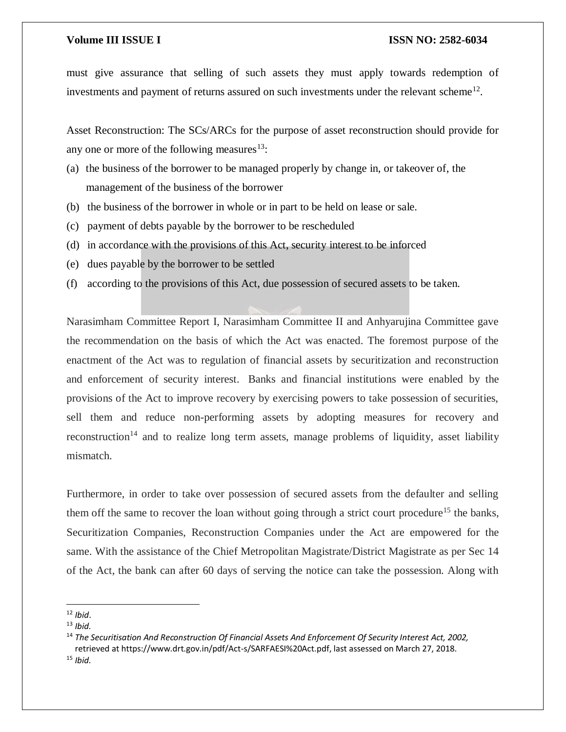must give assurance that selling of such assets they must apply towards redemption of investments and payment of returns assured on such investments under the relevant scheme $^{12}$ .

Asset Reconstruction: The SCs/ARCs for the purpose of asset reconstruction should provide for any one or more of the following measures $13$ :

- (a) the business of the borrower to be managed properly by change in, or takeover of, the management of the business of the borrower
- (b) the business of the borrower in whole or in part to be held on lease or sale.
- (c) payment of debts payable by the borrower to be rescheduled
- (d) in accordance with the provisions of this Act, security interest to be inforced
- (e) dues payable by the borrower to be settled
- (f) according to the provisions of this Act, due possession of secured assets to be taken.

Narasimham Committee Report I, Narasimham Committee II and Anhyarujina Committee gave the recommendation on the basis of which the Act was enacted. The foremost purpose of the enactment of the Act was to regulation of financial assets by securitization and reconstruction and enforcement of security interest. Banks and financial institutions were enabled by the provisions of the Act to improve recovery by exercising powers to take possession of securities, sell them and reduce non-performing assets by adopting measures for recovery and reconstruction<sup>14</sup> and to realize long term assets, manage problems of liquidity, asset liability mismatch.

Furthermore, in order to take over possession of secured assets from the defaulter and selling them off the same to recover the loan without going through a strict court procedure<sup>15</sup> the banks, Securitization Companies, Reconstruction Companies under the Act are empowered for the same. With the assistance of the Chief Metropolitan Magistrate/District Magistrate as per Sec 14 of the Act, the bank can after 60 days of serving the notice can take the possession. Along with

<sup>12</sup> *Ibid*.

<sup>13</sup> *Ibid.*

<sup>14</sup> *The Securitisation And Reconstruction Of Financial Assets And Enforcement Of Security Interest Act, 2002,*  retrieved at https://www.drt.gov.in/pdf/Act-s/SARFAESI%20Act.pdf, last assessed on March 27, 2018. <sup>15</sup> *Ibid.*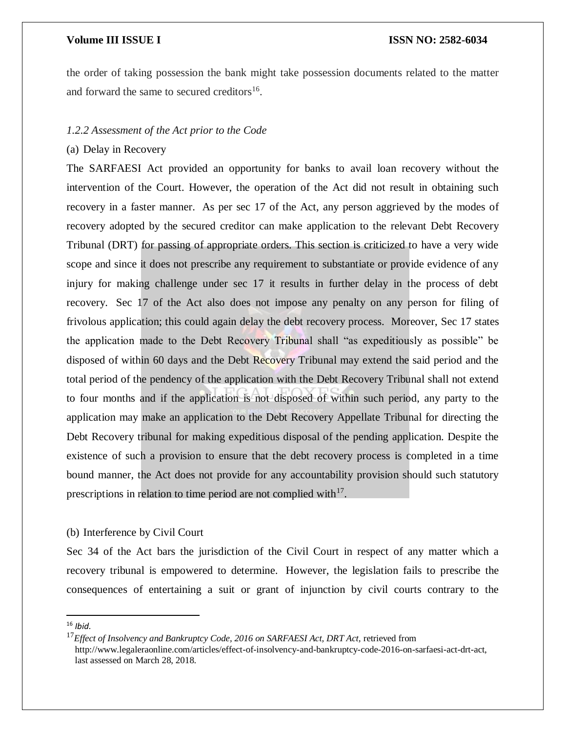the order of taking possession the bank might take possession documents related to the matter and forward the same to secured creditors<sup>16</sup>.

#### *1.2.2 Assessment of the Act prior to the Code*

### (a) Delay in Recovery

The SARFAESI Act provided an opportunity for banks to avail loan recovery without the intervention of the Court. However, the operation of the Act did not result in obtaining such recovery in a faster manner. As per sec 17 of the Act, any person aggrieved by the modes of recovery adopted by the secured creditor can make application to the relevant Debt Recovery Tribunal (DRT) for passing of appropriate orders. This section is criticized to have a very wide scope and since it does not prescribe any requirement to substantiate or provide evidence of any injury for making challenge under sec 17 it results in further delay in the process of debt recovery. Sec 17 of the Act also does not impose any penalty on any person for filing of frivolous application; this could again delay the debt recovery process. Moreover, Sec 17 states the application made to the Debt Recovery Tribunal shall "as expeditiously as possible" be disposed of within 60 days and the Debt Recovery Tribunal may extend the said period and the total period of the pendency of the application with the Debt Recovery Tribunal shall not extend to four months and if the application is not disposed of within such period, any party to the application may make an application to the Debt Recovery Appellate Tribunal for directing the Debt Recovery tribunal for making expeditious disposal of the pending application. Despite the existence of such a provision to ensure that the debt recovery process is completed in a time bound manner, the Act does not provide for any accountability provision should such statutory prescriptions in relation to time period are not complied with $17$ .

#### (b) Interference by Civil Court

Sec 34 of the Act bars the jurisdiction of the Civil Court in respect of any matter which a recovery tribunal is empowered to determine. However, the legislation fails to prescribe the consequences of entertaining a suit or grant of injunction by civil courts contrary to the

<sup>16</sup> *Ibid.*

<sup>&</sup>lt;sup>17</sup>Effect of Insolvency and Bankruptcy Code, 2016 on SARFAESI Act, DRT Act, retrieved from http://www.legaleraonline.com/articles/effect-of-insolvency-and-bankruptcy-code-2016-on-sarfaesi-act-drt-act, last assessed on March 28, 2018.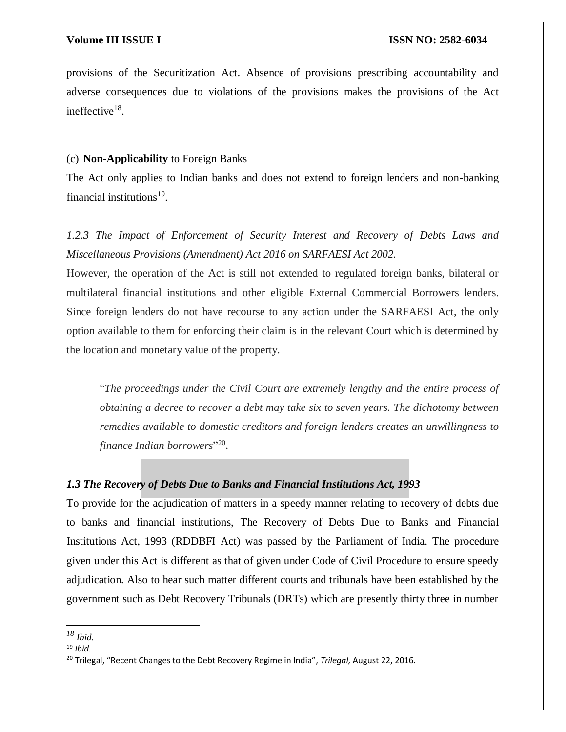provisions of the Securitization Act. Absence of provisions prescribing accountability and adverse consequences due to violations of the provisions makes the provisions of the Act ineffective<sup>18</sup>.

#### (c) **Non-Applicability** to Foreign Banks

The Act only applies to Indian banks and does not extend to foreign lenders and non-banking financial institutions<sup>19</sup>.

*1.2.3 The Impact of Enforcement of Security Interest and Recovery of Debts Laws and Miscellaneous Provisions (Amendment) Act 2016 on SARFAESI Act 2002.*

However, the operation of the Act is still not extended to regulated foreign banks, bilateral or multilateral financial institutions and other eligible External Commercial Borrowers lenders. Since foreign lenders do not have recourse to any action under the SARFAESI Act, the only option available to them for enforcing their claim is in the relevant Court which is determined by the location and monetary value of the property.

"*The proceedings under the Civil Court are extremely lengthy and the entire process of obtaining a decree to recover a debt may take six to seven years. The dichotomy between remedies available to domestic creditors and foreign lenders creates an unwillingness to finance Indian borrowers*" 20 .

### *1.3 The Recovery of Debts Due to Banks and Financial Institutions Act, 1993*

To provide for the adjudication of matters in a speedy manner relating to recovery of debts due to banks and financial institutions, The Recovery of Debts Due to Banks and Financial Institutions Act, 1993 (RDDBFI Act) was passed by the Parliament of India. The procedure given under this Act is different as that of given under Code of Civil Procedure to ensure speedy adjudication. Also to hear such matter different courts and tribunals have been established by the government such as Debt Recovery Tribunals (DRTs) which are presently thirty three in number

 $\overline{a}$ 

*<sup>18</sup> Ibid.*

<sup>19</sup> *Ibid.*

<sup>20</sup> Trilegal, "Recent Changes to the Debt Recovery Regime in India", *Trilegal,* August 22, 2016.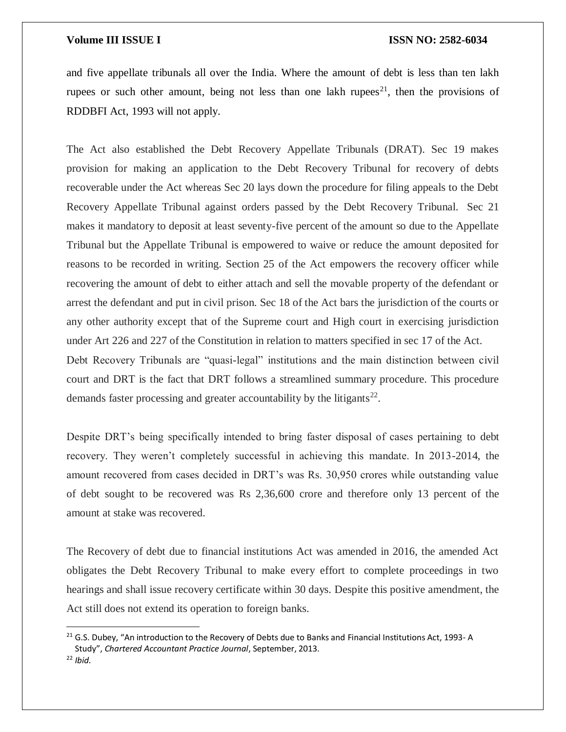and five appellate tribunals all over the India. Where the amount of debt is less than ten lakh rupees or such other amount, being not less than one lakh rupees<sup>21</sup>, then the provisions of RDDBFI Act, 1993 will not apply.

The Act also established the Debt Recovery Appellate Tribunals (DRAT). Sec 19 makes provision for making an application to the Debt Recovery Tribunal for recovery of debts recoverable under the Act whereas Sec 20 lays down the procedure for filing appeals to the Debt Recovery Appellate Tribunal against orders passed by the Debt Recovery Tribunal. Sec 21 makes it mandatory to deposit at least seventy-five percent of the amount so due to the Appellate Tribunal but the Appellate Tribunal is empowered to waive or reduce the amount deposited for reasons to be recorded in writing. Section 25 of the Act empowers the recovery officer while recovering the amount of debt to either attach and sell the movable property of the defendant or arrest the defendant and put in civil prison. Sec 18 of the Act bars the jurisdiction of the courts or any other authority except that of the Supreme court and High court in exercising jurisdiction under Art 226 and 227 of the Constitution in relation to matters specified in sec 17 of the Act. Debt Recovery Tribunals are "quasi-legal" institutions and the main distinction between civil court and DRT is the fact that DRT follows a streamlined summary procedure. This procedure demands faster processing and greater accountability by the litigants<sup>22</sup>.

Despite DRT's being specifically intended to bring faster disposal of cases pertaining to debt recovery. They weren't completely successful in achieving this mandate. In 2013-2014, the amount recovered from cases decided in DRT's was Rs. 30,950 crores while outstanding value of debt sought to be recovered was Rs 2,36,600 crore and therefore only 13 percent of the amount at stake was recovered.

The Recovery of debt due to financial institutions Act was amended in 2016, the amended Act obligates the Debt Recovery Tribunal to make every effort to complete proceedings in two hearings and shall issue recovery certificate within 30 days. Despite this positive amendment, the Act still does not extend its operation to foreign banks.

 $\overline{a}$ 

<sup>&</sup>lt;sup>21</sup> G.S. Dubey, "An introduction to the Recovery of Debts due to Banks and Financial Institutions Act, 1993-A Study", *Chartered Accountant Practice Journal*, September, 2013.

<sup>22</sup> *Ibid.*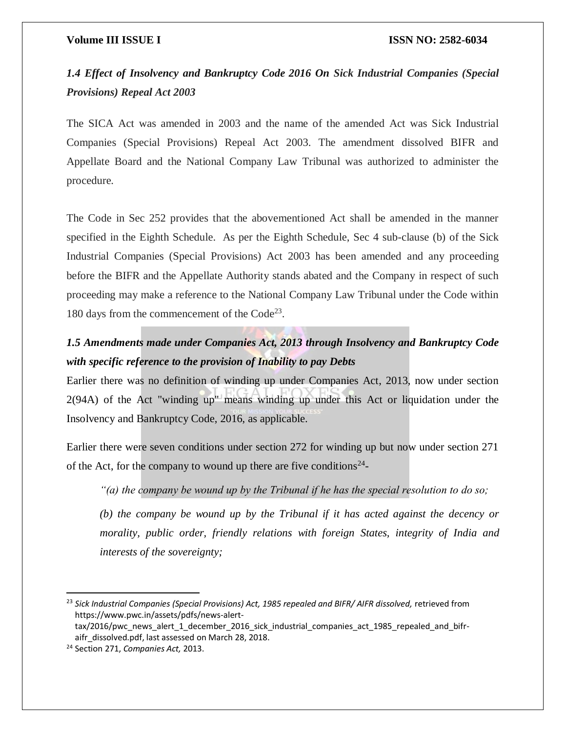## *1.4 Effect of Insolvency and Bankruptcy Code 2016 On Sick Industrial Companies (Special Provisions) Repeal Act 2003*

The SICA Act was amended in 2003 and the name of the amended Act was Sick Industrial Companies (Special Provisions) Repeal Act 2003. The amendment dissolved BIFR and Appellate Board and the National Company Law Tribunal was authorized to administer the procedure.

The Code in Sec 252 provides that the abovementioned Act shall be amended in the manner specified in the Eighth Schedule. As per the Eighth Schedule, Sec 4 sub-clause (b) of the Sick Industrial Companies (Special Provisions) Act 2003 has been amended and any proceeding before the BIFR and the Appellate Authority stands abated and the Company in respect of such proceeding may make a reference to the National Company Law Tribunal under the Code within 180 days from the commencement of the Code<sup>23</sup>.

## *1.5 Amendments made under Companies Act, 2013 through Insolvency and Bankruptcy Code with specific reference to the provision of Inability to pay Debts*

Earlier there was no definition of winding up under Companies Act, 2013, now under section 2(94A) of the Act "winding up" means winding up under this Act or liquidation under the Insolvency and Bankruptcy Code, 2016, as applicable.

Earlier there were seven conditions under section 272 for winding up but now under section 271 of the Act, for the company to wound up there are five conditions<sup>24</sup>-

*"(a) the company be wound up by the Tribunal if he has the special resolution to do so;* 

*(b) the company be wound up by the Tribunal if it has acted against the decency or morality, public order, friendly relations with foreign States, integrity of India and interests of the sovereignty;* 

<sup>&</sup>lt;sup>23</sup> Sick Industrial Companies (Special Provisions) Act, 1985 repealed and BIFR/ AIFR dissolved, retrieved from https://www.pwc.in/assets/pdfs/news-alert-

tax/2016/pwc\_news\_alert\_1\_december\_2016\_sick\_industrial\_companies\_act\_1985\_repealed\_and\_bifraifr\_dissolved.pdf, last assessed on March 28, 2018.

<sup>24</sup> Section 271, *Companies Act,* 2013.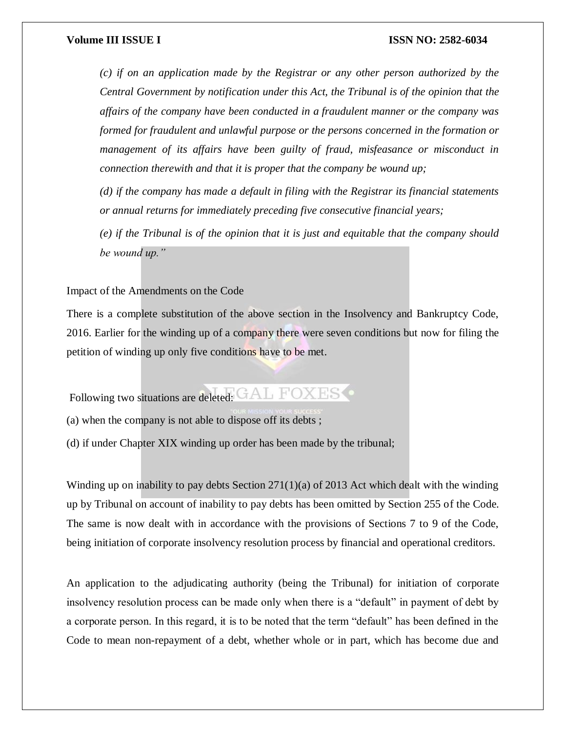*(c) if on an application made by the Registrar or any other person authorized by the Central Government by notification under this Act, the Tribunal is of the opinion that the affairs of the company have been conducted in a fraudulent manner or the company was formed for fraudulent and unlawful purpose or the persons concerned in the formation or management of its affairs have been guilty of fraud, misfeasance or misconduct in connection therewith and that it is proper that the company be wound up;* 

*(d) if the company has made a default in filing with the Registrar its financial statements or annual returns for immediately preceding five consecutive financial years;* 

*(e) if the Tribunal is of the opinion that it is just and equitable that the company should be wound up."*

Impact of the Amendments on the Code

There is a complete substitution of the above section in the Insolvency and Bankruptcy Code, 2016. Earlier for the winding up of a company there were seven conditions but now for filing the petition of winding up only five conditions have to be met.

Following two situations are deleted: GAL FOXES

(a) when the company is not able to dispose off its debts ;

(d) if under Chapter XIX winding up order has been made by the tribunal;

Winding up on inability to pay debts Section  $271(1)(a)$  of 2013 Act which dealt with the winding up by Tribunal on account of inability to pay debts has been omitted by Section 255 of the Code. The same is now dealt with in accordance with the provisions of Sections 7 to 9 of the Code, being initiation of corporate insolvency resolution process by financial and operational creditors.

An application to the adjudicating authority (being the Tribunal) for initiation of corporate insolvency resolution process can be made only when there is a "default" in payment of debt by a corporate person. In this regard, it is to be noted that the term "default" has been defined in the Code to mean non-repayment of a debt, whether whole or in part, which has become due and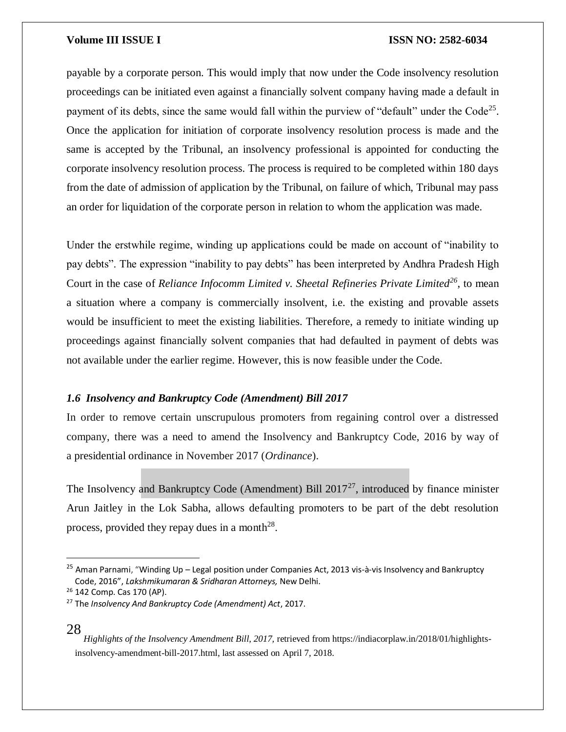payable by a corporate person. This would imply that now under the Code insolvency resolution proceedings can be initiated even against a financially solvent company having made a default in payment of its debts, since the same would fall within the purview of "default" under the Code<sup>25</sup>. Once the application for initiation of corporate insolvency resolution process is made and the same is accepted by the Tribunal, an insolvency professional is appointed for conducting the corporate insolvency resolution process. The process is required to be completed within 180 days from the date of admission of application by the Tribunal, on failure of which, Tribunal may pass an order for liquidation of the corporate person in relation to whom the application was made.

Under the erstwhile regime, winding up applications could be made on account of "inability to pay debts". The expression "inability to pay debts" has been interpreted by Andhra Pradesh High Court in the case of *Reliance Infocomm Limited v. Sheetal Refineries Private Limited<sup>26</sup>*, to mean a situation where a company is commercially insolvent, i.e. the existing and provable assets would be insufficient to meet the existing liabilities. Therefore, a remedy to initiate winding up proceedings against financially solvent companies that had defaulted in payment of debts was not available under the earlier regime. However, this is now feasible under the Code.

### *1.6 Insolvency and Bankruptcy Code (Amendment) Bill 2017*

In order to remove certain unscrupulous promoters from regaining control over a distressed company, there was a need to amend the Insolvency and Bankruptcy Code, 2016 by way of a presidential ordinance in November 2017 (*Ordinance*).

The Insolvency and Bankruptcy Code (Amendment) Bill  $2017^{27}$ , introduced by finance minister Arun Jaitley in the Lok Sabha, allows defaulting promoters to be part of the debt resolution process, provided they repay dues in a month<sup>28</sup>.

### 28

<sup>&</sup>lt;sup>25</sup> Aman Parnami, "Winding Up – Legal position under Companies Act, 2013 vis-à-vis Insolvency and Bankruptcy Code, 2016", *Lakshmikumaran & Sridharan Attorneys,* New Delhi.

<sup>&</sup>lt;sup>26</sup> 142 Comp. Cas 170 (AP).

<sup>27</sup> The *Insolvency And Bankruptcy Code (Amendment) Act*, 2017.

*Highlights of the Insolvency Amendment Bill, 2017, retrieved from https://indiacorplaw.in/2018/01/highlights*insolvency-amendment-bill-2017.html, last assessed on April 7, 2018.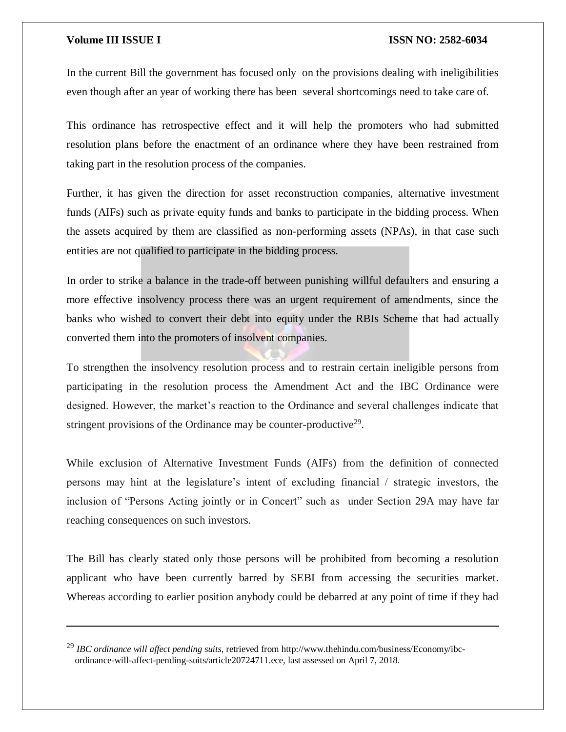$\overline{a}$ 

#### **Volume III ISSUE I ISSN NO: 2582-6034**

In the current Bill the government has focused only on the provisions dealing with ineligibilities even though after an year of working there has been several shortcomings need to take care of.

This ordinance has retrospective effect and it will help the promoters who had submitted resolution plans before the enactment of an ordinance where they have been restrained from taking part in the resolution process of the companies.

Further, it has given the direction for asset reconstruction companies, alternative investment funds (AIFs) such as private equity funds and banks to participate in the bidding process. When the assets acquired by them are classified as non-performing assets (NPAs), in that case such entities are not qualified to participate in the bidding process.

In order to strike a balance in the trade-off between punishing willful defaulters and ensuring a more effective insolvency process there was an urgent requirement of amendments, since the banks who wished to convert their debt into equity under the RBIs Scheme that had actually converted them into the promoters of insolvent companies.

To strengthen the insolvency resolution process and to restrain certain ineligible persons from participating in the resolution process the Amendment Act and the IBC Ordinance were designed. However, the market's reaction to the Ordinance and several challenges indicate that stringent provisions of the Ordinance may be counter-productive $2^9$ .

While exclusion of Alternative Investment Funds (AIFs) from the definition of connected persons may hint at the legislature's intent of excluding financial / strategic investors, the inclusion of "Persons Acting jointly or in Concert" such as under Section 29A may have far reaching consequences on such investors.

The Bill has clearly stated only those persons will be prohibited from becoming a resolution applicant who have been currently barred by SEBI from accessing the securities market. Whereas according to earlier position anybody could be debarred at any point of time if they had

<sup>29</sup> *IBC ordinance will affect pending suits,* retrieved from http://www.thehindu.com/business/Economy/ibcordinance-will-affect-pending-suits/article20724711.ece, last assessed on April 7, 2018.